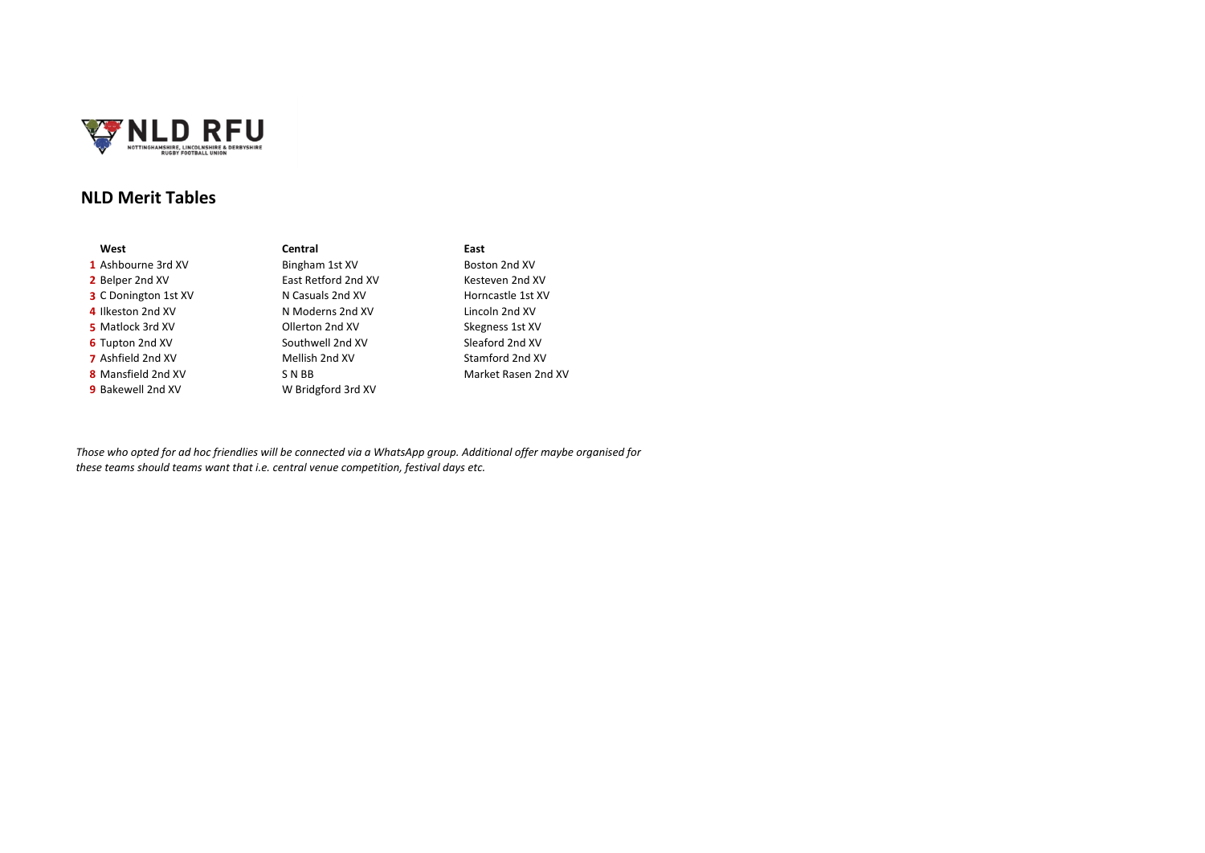

## **NLD Merit Tables**

| West                        | Central             | East        |
|-----------------------------|---------------------|-------------|
| 1 Ashbourne 3rd XV          | Bingham 1st XV      | <b>Bost</b> |
| 2 Belper 2nd XV             | East Retford 2nd XV | Kest        |
| <b>3</b> C Donington 1st XV | N Casuals 2nd XV    | Hori        |
| 4 Ilkeston 2nd XV           | N Moderns 2nd XV    | Linc        |
| 5 Matlock 3rd XV            | Ollerton 2nd XV     | Skeg        |
| 6 Tupton 2nd XV             | Southwell 2nd XV    | Slea        |
| <b>7</b> Ashfield 2nd XV    | Mellish 2nd XV      | Stan        |
| 8 Mansfield 2nd XV          | S N BB              | Mar         |
| 9 Bakewell 2nd XV           | W Bridgford 3rd XV  |             |
|                             |                     |             |

# **1** Bingham 1st XV Boston 2nd XV **N** Casuals 2nd XV **4** Incoln 2nd XV **N** Moderns 2nd XV **5** Ollerton 2nd XV Skegness 1st XV **6** Southwell 2nd XV Sleaford 2nd XV<br>Mellish 2nd XV Stamford 2nd XV **W Bridgford 3rd XV**

**2** East Retford 2nd XV **East Retford 2nd XV** Kesteven 2nd XV<br>**2** Borncastle 1st XV **Stamford 2nd XV 8** N BB Market Rasen 2nd XV

*Those who opted for ad hoc friendlies will be connected via a WhatsApp group. Additional offer maybe organised for these teams should teams want that i.e. central venue competition, festival days etc.*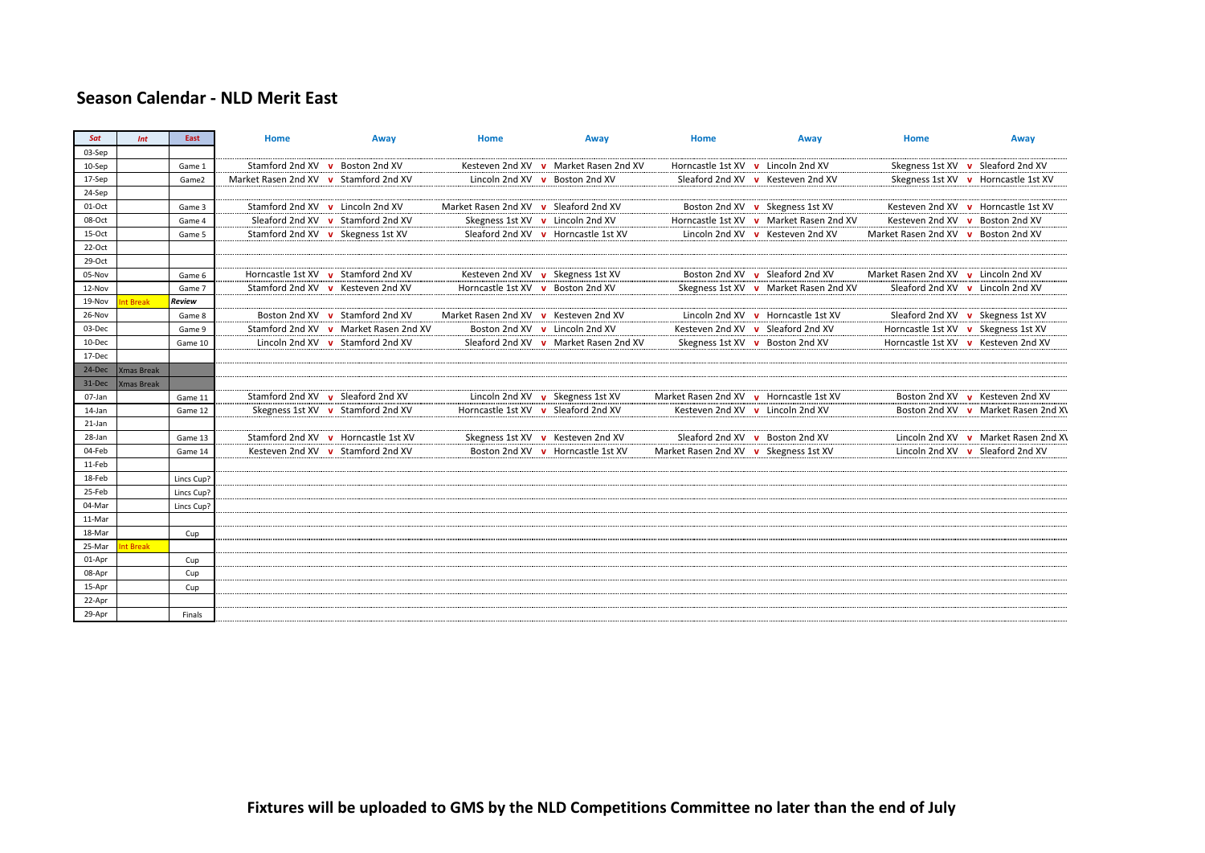## **Season Calendar - NLD Merit East**

| Sat      | Int               | East       | <b>Home</b>                           | Away                                  | Home                                  | Away                                  | Home                                    | Away                                    | Home                                 | Away                                 |
|----------|-------------------|------------|---------------------------------------|---------------------------------------|---------------------------------------|---------------------------------------|-----------------------------------------|-----------------------------------------|--------------------------------------|--------------------------------------|
| 03-Sep   |                   |            |                                       |                                       |                                       |                                       |                                         |                                         |                                      |                                      |
| 10-Sep   |                   | Game 1     | Stamford 2nd XV v Boston 2nd XV       |                                       |                                       | Kesteven 2nd XV v Market Rasen 2nd XV | Horncastle 1st XV v Lincoln 2nd XV      |                                         |                                      | Skegness 1st XV v Sleaford 2nd XV    |
| 17-Sep   |                   | Game2      | Market Rasen 2nd XV v Stamford 2nd XV |                                       | Lincoln 2nd XV v Boston 2nd XV        |                                       |                                         | Sleaford 2nd XV v Kesteven 2nd XV       |                                      | Skegness 1st XV v Horncastle 1st XV  |
| 24-Sep   |                   |            |                                       |                                       |                                       |                                       |                                         |                                         |                                      |                                      |
| 01-Oct   |                   | Game 3     | Stamford 2nd XV v Lincoln 2nd XV      |                                       | Market Rasen 2nd XV v Sleaford 2nd XV |                                       |                                         | Boston 2nd XV v Skegness 1st XV         |                                      | Kesteven 2nd XV v Horncastle 1st XV  |
| 08-Oct   |                   | Game 4     |                                       | Sleaford 2nd XV v Stamford 2nd XV     | Skegness 1st XV v Lincoln 2nd XV      |                                       |                                         | Horncastle 1st XV v Market Rasen 2nd XV | Kesteven 2nd XV v Boston 2nd XV      |                                      |
| 15-Oct   |                   | Game 5     | Stamford 2nd XV v Skegness 1st XV     |                                       |                                       | Sleaford 2nd XV v Horncastle 1st XV   |                                         | Lincoln 2nd XV v Kesteven 2nd XV        | Market Rasen 2nd XV v Boston 2nd XV  |                                      |
| $22-Oct$ |                   |            |                                       |                                       |                                       |                                       |                                         |                                         |                                      |                                      |
| 29-Oct   |                   |            |                                       |                                       |                                       |                                       |                                         |                                         |                                      |                                      |
| 05-Nov   |                   | Game 6     |                                       | Horncastle 1st XV v Stamford 2nd XV   | Kesteven 2nd XV v Skegness 1st XV     |                                       |                                         | Boston 2nd XV v Sleaford 2nd XV         | Market Rasen 2nd XV v Lincoln 2nd XV |                                      |
| 12-Nov   |                   | Game 7     |                                       | Stamford 2nd XV v Kesteven 2nd XV     | Horncastle 1st XV v Boston 2nd XV     |                                       |                                         | Skegness 1st XV v Market Rasen 2nd XV   |                                      | Sleaford 2nd XV v Lincoln 2nd XV     |
| 19-Nov   | <b>t</b> Break    | Review     |                                       |                                       |                                       |                                       |                                         |                                         |                                      |                                      |
| 26-Nov   |                   | Game 8     |                                       | Boston 2nd XV v Stamford 2nd XV       | Market Rasen 2nd XV v Kesteven 2nd XV |                                       |                                         | Lincoln 2nd XV v Horncastle 1st XV      |                                      | Sleaford 2nd XV v Skegness 1st XV    |
| 03-Dec   |                   | Game 9     |                                       | Stamford 2nd XV v Market Rasen 2nd XV | Boston 2nd XV v Lincoln 2nd XV        |                                       |                                         | Kesteven 2nd XV v Sleaford 2nd XV       | Horncastle 1st XV v Skegness 1st XV  |                                      |
| 10-Dec   |                   | Game 10    |                                       | Lincoln 2nd XV v Stamford 2nd XV      |                                       | Sleaford 2nd XV v Market Rasen 2nd XV |                                         | Skegness 1st XV v Boston 2nd XV         |                                      | Horncastle 1st XV v Kesteven 2nd XV  |
| 17-Dec   |                   |            |                                       |                                       |                                       |                                       |                                         |                                         |                                      |                                      |
| 24-Dec   | <b>Xmas Break</b> |            |                                       |                                       |                                       |                                       |                                         |                                         |                                      |                                      |
| 31-Dec   | <b>Xmas Break</b> |            |                                       |                                       |                                       |                                       |                                         |                                         |                                      |                                      |
| 07-Jan   |                   | Game 11    |                                       | Stamford 2nd XV v Sleaford 2nd XV     | Lincoln 2nd XV v Skegness 1st XV      |                                       | Market Rasen 2nd XV v Horncastle 1st XV |                                         |                                      | Boston 2nd XV v Kesteven 2nd XV      |
| 14-Jan   |                   | Game 12    |                                       | Skegness 1st XV v Stamford 2nd XV     | Horncastle 1st XV v Sleaford 2nd XV   |                                       | Kesteven 2nd XV v Lincoln 2nd XV        |                                         |                                      | Boston 2nd XV v Market Rasen 2nd XV  |
| 21-Jan   |                   |            |                                       |                                       |                                       |                                       |                                         |                                         |                                      |                                      |
| 28-Jan   |                   | Game 13    |                                       | Stamford 2nd XV v Horncastle 1st XV   | Skegness 1st XV v Kesteven 2nd XV     |                                       |                                         | Sleaford 2nd XV v Boston 2nd XV         |                                      | Lincoln 2nd XV v Market Rasen 2nd XV |
| 04-Feb   |                   | Game 14    |                                       | Kesteven 2nd XV v Stamford 2nd XV     |                                       | Boston 2nd XV v Horncastle 1st XV     | Market Rasen 2nd XV v Skegness 1st XV   |                                         |                                      | Lincoln 2nd XV v Sleaford 2nd XV     |
| 11-Feb   |                   |            |                                       |                                       |                                       |                                       |                                         |                                         |                                      |                                      |
| 18-Feb   |                   | Lincs Cup? |                                       |                                       |                                       |                                       |                                         |                                         |                                      |                                      |
| 25-Feb   |                   | Lincs Cup? |                                       |                                       |                                       |                                       |                                         |                                         |                                      |                                      |
| 04-Mar   |                   | Lincs Cup? |                                       |                                       |                                       |                                       |                                         |                                         |                                      |                                      |
| 11-Mar   |                   |            |                                       |                                       |                                       |                                       |                                         |                                         |                                      |                                      |
| 18-Mar   |                   | Cup        |                                       |                                       |                                       |                                       |                                         |                                         |                                      |                                      |
| 25-Mar   | nt Break          |            |                                       |                                       |                                       |                                       |                                         |                                         |                                      |                                      |
| 01-Apr   |                   | Cup        |                                       |                                       |                                       |                                       |                                         |                                         |                                      |                                      |
| 08-Apr   |                   | Cup        |                                       |                                       |                                       |                                       |                                         |                                         |                                      |                                      |
| 15-Apr   |                   | Cup        |                                       |                                       |                                       |                                       |                                         |                                         |                                      |                                      |
| 22-Apr   |                   |            |                                       |                                       |                                       |                                       |                                         |                                         |                                      |                                      |
| 29-Apr   |                   | Finals     |                                       |                                       |                                       |                                       |                                         |                                         |                                      |                                      |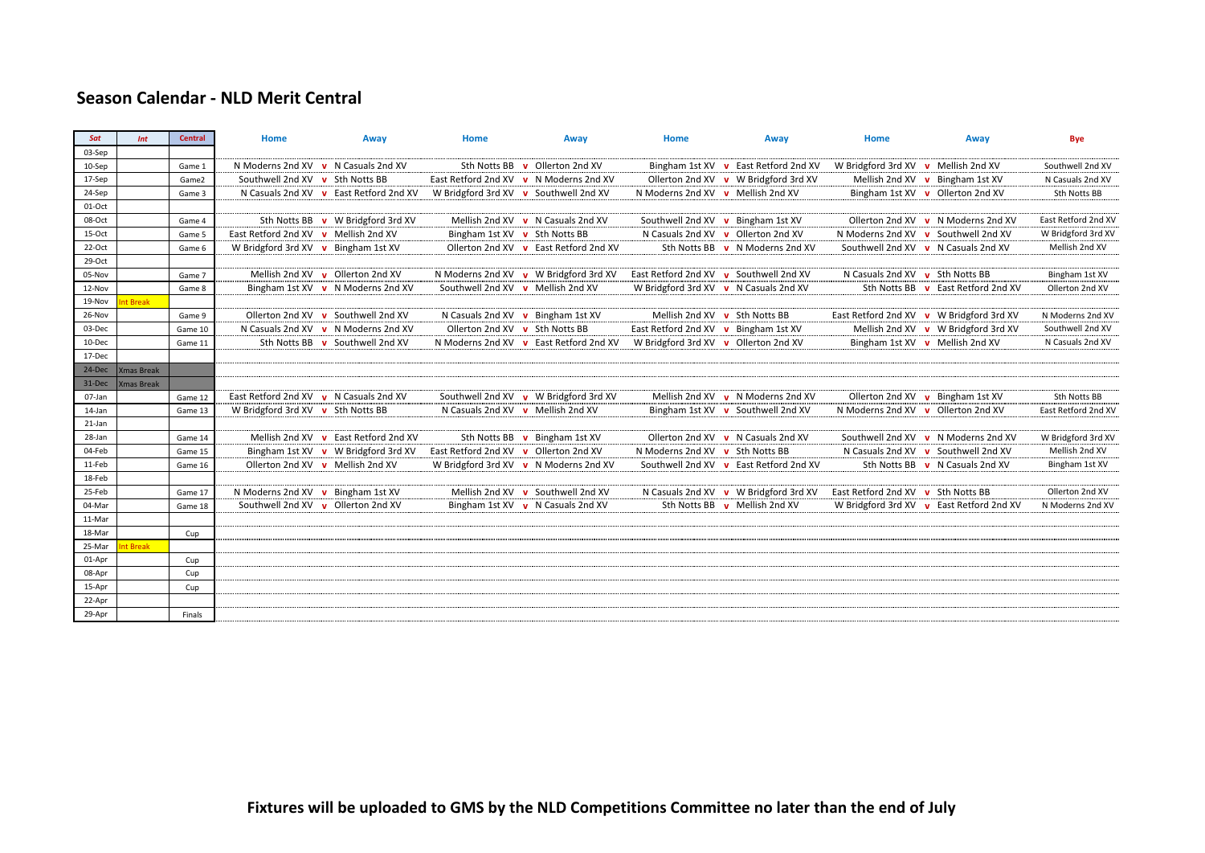### **Season Calendar - NLD Merit Central**

| Sat      | Int               | <b>Central</b> | Home                                   | Away                                   | Home                                  | Away                                   | Home                                 | Away                                   | Home                                    | Away                                        | <b>Bye</b>          |
|----------|-------------------|----------------|----------------------------------------|----------------------------------------|---------------------------------------|----------------------------------------|--------------------------------------|----------------------------------------|-----------------------------------------|---------------------------------------------|---------------------|
| 03-Sep   |                   |                |                                        |                                        |                                       |                                        |                                      |                                        |                                         |                                             |                     |
| 10-Sep   |                   | Game 1         |                                        | N Moderns 2nd XV v N Casuals 2nd XV    |                                       | Sth Notts BB v Ollerton 2nd XV         |                                      | Bingham 1st XV v East Retford 2nd XV   | W Bridgford 3rd XV v Mellish 2nd XV     |                                             | Southwell 2nd XV    |
| 17-Sep   |                   | Game2          | Southwell 2nd XV v Sth Notts BB        |                                        |                                       | East Retford 2nd XV v N Moderns 2nd XV |                                      | Ollerton 2nd XV v W Bridgford 3rd XV   |                                         | Mellish 2nd XV v Bingham 1st XV             | N Casuals 2nd XV    |
| 24-Sep   |                   | Game 3         |                                        | N Casuals 2nd XV v East Retford 2nd XV | W Bridgford 3rd XV v Southwell 2nd XV |                                        | N Moderns 2nd XV v Mellish 2nd XV    |                                        |                                         | Bingham 1st XV v Ollerton 2nd XV            | Sth Notts BB        |
| 01-Oct   |                   |                |                                        |                                        |                                       |                                        |                                      |                                        |                                         |                                             |                     |
| 08-Oct   |                   | Game 4         |                                        | Sth Notts BB v W Bridgford 3rd XV      |                                       | Mellish 2nd XV v N Casuals 2nd XV      |                                      | Southwell 2nd XV v Bingham 1st XV      |                                         | Ollerton 2nd XV v N Moderns 2nd XV          | East Retford 2nd XV |
| 15-Oct   |                   | Game 5         | East Retford 2nd XV v Mellish 2nd XV   |                                        | Bingham 1st XV v Sth Notts BB         |                                        |                                      | N Casuals 2nd XV v Ollerton 2nd XV     |                                         | N Moderns 2nd XV v Southwell 2nd XV         | W Bridgford 3rd XV  |
| $22-Oct$ |                   | Game 6         | W Bridgford 3rd XV v Bingham 1st XV    |                                        |                                       | Ollerton 2nd XV v East Retford 2nd XV  |                                      | Sth Notts BB v N Moderns 2nd XV        |                                         | Southwell 2nd XV v N Casuals 2nd XV         | Mellish 2nd XV      |
| 29-Oct   |                   |                |                                        |                                        |                                       |                                        |                                      |                                        |                                         |                                             |                     |
| 05-Nov   |                   | Game 7         |                                        | Mellish 2nd XV v Ollerton 2nd XV       |                                       | N Moderns 2nd XV v W Bridgford 3rd XV  |                                      | East Retford 2nd XV v Southwell 2nd XV | N Casuals 2nd XV $\bullet$ Sth Notts BB |                                             | Bingham 1st XV      |
| 12-Nov   |                   | Game 8         |                                        | Bingham 1st XV v N Moderns 2nd XV      | Southwell 2nd XV v Mellish 2nd XV     |                                        |                                      | W Bridgford 3rd XV v N Casuals 2nd XV  |                                         | Sth Notts BB v East Retford 2nd XV          | Ollerton 2nd XV     |
| 19-Nov   | t Break           |                |                                        |                                        |                                       |                                        |                                      |                                        |                                         |                                             |                     |
| 26-Nov   |                   | Game 9         | Ollerton 2nd XV                        | Southwell 2nd XV<br>$\mathbf{v}$       |                                       | N Casuals 2nd XV v Bingham 1st XV      |                                      | Mellish 2nd XV v Sth Notts BB          |                                         | East Retford 2nd XV v W Bridgford 3rd XV    | N Moderns 2nd XV    |
| 03-Dec   |                   | Game 10        | N Casuals 2nd XV                       | N Moderns 2nd XV<br>$\mathbf{v}$       | Ollerton 2nd XV v Sth Notts BB        |                                        | East Retford 2nd XV v Bingham 1st XV |                                        |                                         | Mellish 2nd XV v W Bridgford 3rd XV         | Southwell 2nd XV    |
| 10-Dec   |                   | Game 11        | Sth Notts BB v                         | Southwell 2nd XV                       |                                       | N Moderns 2nd XV v East Retford 2nd XV |                                      | W Bridgford 3rd XV v Ollerton 2nd XV   |                                         | Bingham 1st XV v Mellish 2nd XV             | N Casuals 2nd XV    |
| 17-Dec   |                   |                |                                        |                                        |                                       |                                        |                                      |                                        |                                         |                                             |                     |
| 24-Dec   | <b>Xmas Break</b> |                |                                        |                                        |                                       |                                        |                                      |                                        |                                         |                                             |                     |
| 31-Dec   | <b>Xmas Break</b> |                |                                        |                                        |                                       |                                        |                                      |                                        |                                         |                                             |                     |
| 07-Jan   |                   | Game 12        | East Retford 2nd XV v N Casuals 2nd XV |                                        |                                       | Southwell 2nd XV v W Bridgford 3rd XV  |                                      | Mellish 2nd XV v N Moderns 2nd XV      |                                         | Ollerton 2nd $XV$ <b>v</b> Bingham 1st $XV$ | Sth Notts BB        |
| 14-Jan   |                   | Game 13        | W Bridgford 3rd XV v Sth Notts BB      |                                        | N Casuals 2nd XV v Mellish 2nd XV     |                                        |                                      | Bingham 1st XV v Southwell 2nd XV      | N Moderns 2nd XV v Ollerton 2nd XV      |                                             | East Retford 2nd XV |
| 21-Jan   |                   |                |                                        |                                        |                                       |                                        |                                      |                                        |                                         |                                             |                     |
| 28-Jan   |                   | Game 14        |                                        | Mellish 2nd XV v East Retford 2nd XV   | Sth Notts BB                          | v Bingham 1st XV                       |                                      | Ollerton 2nd XV v N Casuals 2nd XV     |                                         | Southwell 2nd XV v N Moderns 2nd XV         | W Bridgford 3rd XV  |
| 04-Feb   |                   | Game 15        |                                        | Bingham 1st XV v W Bridgford 3rd XV    | East Retford 2nd XV v Ollerton 2nd XV |                                        | N Moderns 2nd XV v Sth Notts BB      |                                        |                                         | N Casuals 2nd XV v Southwell 2nd XV         | Mellish 2nd XV      |
| 11-Feb   |                   | Game 16        |                                        | Ollerton 2nd XV v Mellish 2nd XV       |                                       | W Bridgford 3rd XV v N Moderns 2nd XV  |                                      | Southwell 2nd XV v East Retford 2nd XV |                                         | Sth Notts BB v N Casuals 2nd XV             | Bingham 1st XV      |
| 18-Feb   |                   |                |                                        |                                        |                                       |                                        |                                      |                                        |                                         |                                             |                     |
| 25-Feb   |                   | Game 17        | N Moderns 2nd XV v Bingham 1st XV      |                                        |                                       | Mellish 2nd XV v Southwell 2nd XV      |                                      | N Casuals 2nd XV v W Bridgford 3rd XV  | East Retford 2nd XV v Sth Notts BB      |                                             | Ollerton 2nd XV     |
| 04-Mar   |                   | Game 18        |                                        | Southwell 2nd XV v Ollerton 2nd XV     |                                       | Bingham 1st XV v N Casuals 2nd XV      |                                      | Sth Notts BB v Mellish 2nd XV          |                                         | W Bridgford 3rd XV v East Retford 2nd XV    | N Moderns 2nd XV    |
| 11-Mar   |                   |                |                                        |                                        |                                       |                                        |                                      |                                        |                                         |                                             |                     |
| 18-Mar   |                   | Cup            |                                        |                                        |                                       |                                        |                                      |                                        |                                         |                                             |                     |
| 25-Mar   | t Break           |                |                                        |                                        |                                       |                                        |                                      |                                        |                                         |                                             |                     |
| 01-Apr   |                   | Cup            |                                        |                                        |                                       |                                        |                                      |                                        |                                         |                                             |                     |
| 08-Apr   |                   | Cup            |                                        |                                        |                                       |                                        |                                      |                                        |                                         |                                             |                     |
| 15-Apr   |                   | Cup            |                                        |                                        |                                       |                                        |                                      |                                        |                                         |                                             |                     |
| 22-Apr   |                   |                |                                        |                                        |                                       |                                        |                                      |                                        |                                         |                                             |                     |
| 29-Apr   |                   | Finals         |                                        |                                        |                                       |                                        |                                      |                                        |                                         |                                             |                     |